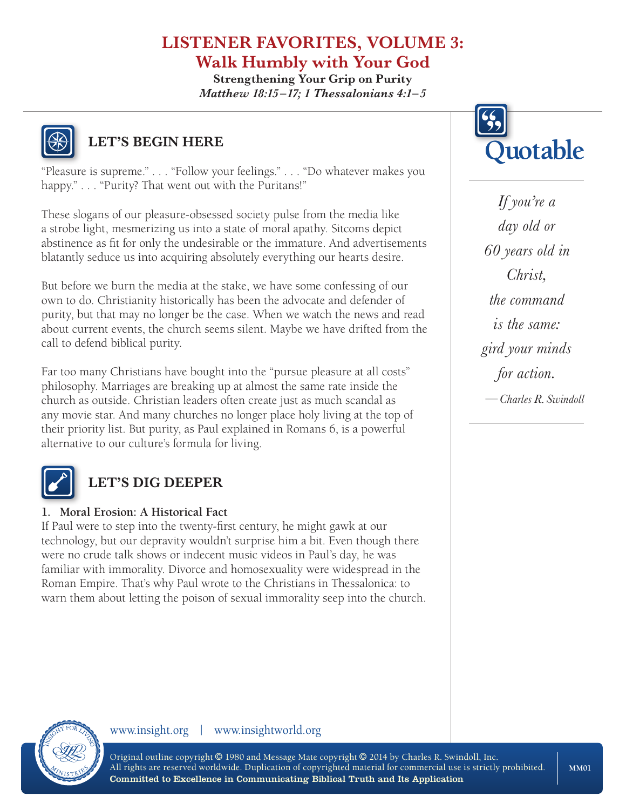# **LISTENER FAVORITES, VOLUME 3: Walk Humbly with Your God**

**Strengthening Your Grip on Purity** *Matthew 18:15 –17; 1 Thessalonians 4:1–5*



### **LET'S BEGIN HERE**

"Pleasure is supreme." . . . "Follow your feelings." . . . "Do whatever makes you happy." . . . "Purity? That went out with the Puritans!"

These slogans of our pleasure-obsessed society pulse from the media like a strobe light, mesmerizing us into a state of moral apathy. Sitcoms depict abstinence as fit for only the undesirable or the immature. And advertisements blatantly seduce us into acquiring absolutely everything our hearts desire.

But before we burn the media at the stake, we have some confessing of our own to do. Christianity historically has been the advocate and defender of purity, but that may no longer be the case. When we watch the news and read about current events, the church seems silent. Maybe we have drifted from the call to defend biblical purity.

Far too many Christians have bought into the "pursue pleasure at all costs" philosophy. Marriages are breaking up at almost the same rate inside the church as outside. Christian leaders often create just as much scandal as any movie star. And many churches no longer place holy living at the top of their priority list. But purity, as Paul explained in Romans 6, is a powerful alternative to our culture's formula for living.



# **LET'S DIG DEEPER**

### **1. Moral Erosion: A Historical Fact**

If Paul were to step into the twenty-first century, he might gawk at our technology, but our depravity wouldn't surprise him a bit. Even though there were no crude talk shows or indecent music videos in Paul's day, he was familiar with immorality. Divorce and homosexuality were widespread in the Roman Empire. That's why Paul wrote to the Christians in Thessalonica: to warn them about letting the poison of sexual immorality seep into the church.



*If you're a day old or 60 years old in Christ, the command is the same: gird your minds for action. —Charles R. Swindoll*

### www.insight.org | www.insightworld.org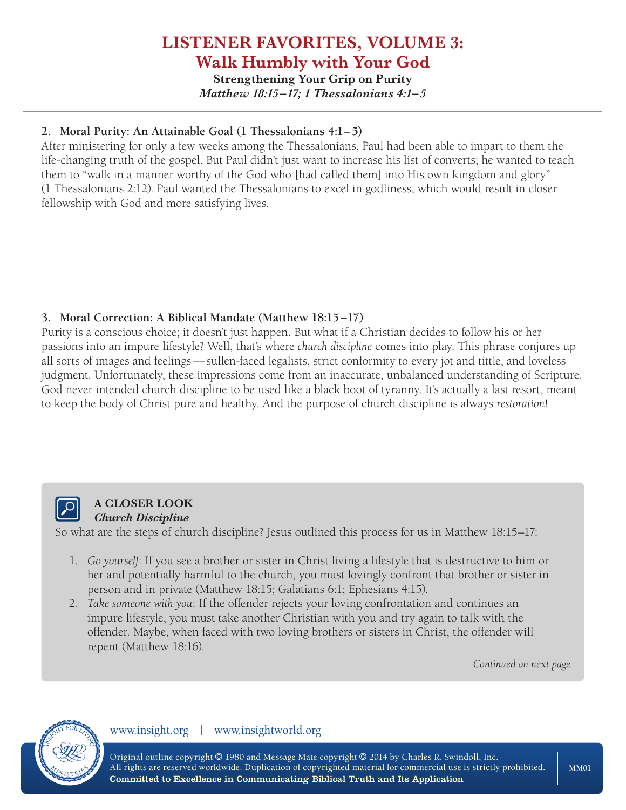# **LISTENER FAVORITES, VOLUME 3: Walk Humbly with Your God**

**Strengthening Your Grip on Purity** *Matthew 18:15 –17; 1 Thessalonians 4:1–5*

### **2. Moral Purity: An Attainable Goal (1 Thessalonians 4:1–5)**

After ministering for only a few weeks among the Thessalonians, Paul had been able to impart to them the life-changing truth of the gospel. But Paul didn't just want to increase his list of converts; he wanted to teach them to "walk in a manner worthy of the God who [had called them] into His own kingdom and glory" (1 Thessalonians 2:12). Paul wanted the Thessalonians to excel in godliness, which would result in closer fellowship with God and more satisfying lives.

### **3. Moral Correction: A Biblical Mandate (Matthew 18:15–17)**

Purity is a conscious choice; it doesn't just happen. But what if a Christian decides to follow his or her passions into an impure lifestyle? Well, that's where *church discipline* comes into play. This phrase conjures up all sorts of images and feelings—sullen-faced legalists, strict conformity to every jot and tittle, and loveless judgment. Unfortunately, these impressions come from an inaccurate, unbalanced understanding of Scripture. God never intended church discipline to be used like a black boot of tyranny. It's actually a last resort, meant to keep the body of Christ pure and healthy. And the purpose of church discipline is always *restoration*!



### **A CLOSER LOOK** *Church Discipline*

So what are the steps of church discipline? Jesus outlined this process for us in Matthew 18:15–17:

- 1. *Go yourself*: If you see a brother or sister in Christ living a lifestyle that is destructive to him or her and potentially harmful to the church, you must lovingly confront that brother or sister in person and in private (Matthew 18:15; Galatians 6:1; Ephesians 4:15).
- 2. *Take someone with you*: If the offender rejects your loving confrontation and continues an impure lifestyle, you must take another Christian with you and try again to talk with the offender. Maybe, when faced with two loving brothers or sisters in Christ, the offender will repent (Matthew 18:16).

*Continued on next page*

### www.insight.org | www.insightworld.org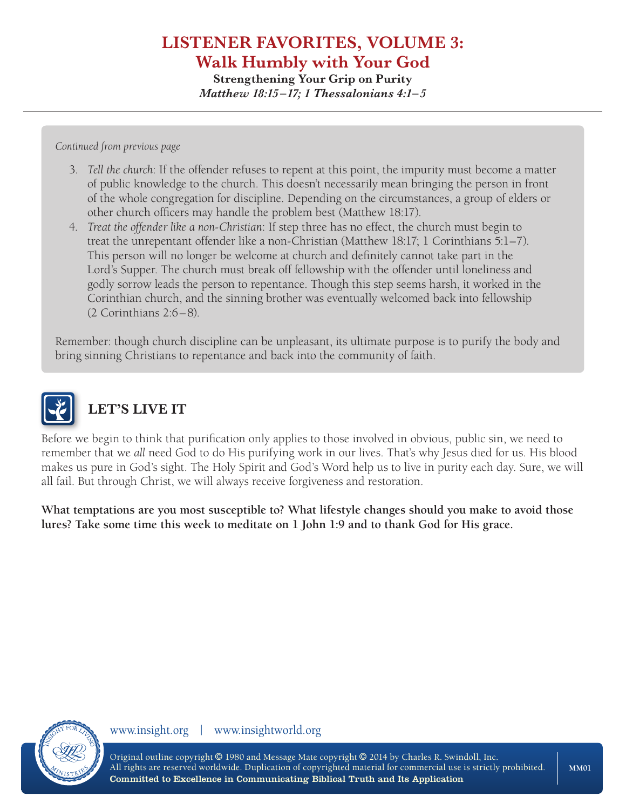### **LISTENER FAVORITES, VOLUME 3: Walk Humbly with Your God Strengthening Your Grip on Purity**

*Matthew 18:15 –17; 1 Thessalonians 4:1–5*

*Continued from previous page*

- 3. *Tell the church*: If the offender refuses to repent at this point, the impurity must become a matter of public knowledge to the church. This doesn't necessarily mean bringing the person in front of the whole congregation for discipline. Depending on the circumstances, a group of elders or other church officers may handle the problem best (Matthew 18:17).
- 4. *Treat the offender like a non-Christian*: If step three has no effect, the church must begin to treat the unrepentant offender like a non-Christian (Matthew 18:17; 1 Corinthians 5:1–7). This person will no longer be welcome at church and definitely cannot take part in the Lord's Supper. The church must break off fellowship with the offender until loneliness and godly sorrow leads the person to repentance. Though this step seems harsh, it worked in the Corinthian church, and the sinning brother was eventually welcomed back into fellowship (2 Corinthians 2:6–8).

Remember: though church discipline can be unpleasant, its ultimate purpose is to purify the body and bring sinning Christians to repentance and back into the community of faith.



# **LET'S LIVE IT**

Before we begin to think that purification only applies to those involved in obvious, public sin, we need to remember that we *all* need God to do His purifying work in our lives. That's why Jesus died for us. His blood makes us pure in God's sight. The Holy Spirit and God's Word help us to live in purity each day. Sure, we will all fail. But through Christ, we will always receive forgiveness and restoration.

**What temptations are you most susceptible to? What lifestyle changes should you make to avoid those lures? Take some time this week to meditate on 1 John 1:9 and to thank God for His grace.**



www.insight.org | www.insightworld.org